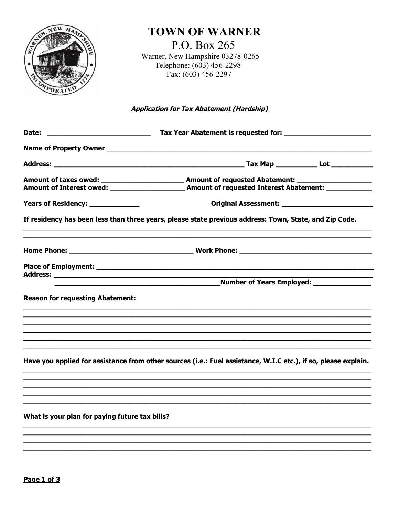

# **TOWN OF WARNER**

P.O. Box 265 Warner, New Hampshire 03278-0265 Telephone: (603) 456-2298 Fax:  $(603) 456-2297$ 

## **Application for Tax Abatement (Hardship)**

| Years of Residency: ____________               |                                                                                                                |  |
|------------------------------------------------|----------------------------------------------------------------------------------------------------------------|--|
|                                                | If residency has been less than three years, please state previous address: Town, State, and Zip Code.         |  |
|                                                |                                                                                                                |  |
|                                                |                                                                                                                |  |
|                                                | <b>Number of Years Employed:</b>                                                                               |  |
|                                                |                                                                                                                |  |
| <b>Reason for requesting Abatement:</b>        |                                                                                                                |  |
|                                                |                                                                                                                |  |
|                                                |                                                                                                                |  |
|                                                |                                                                                                                |  |
|                                                | ,我们也不能在这里的时候,我们也不能在这里的时候,我们也不能会在这里的时候,我们也不能会在这里的时候,我们也不能会在这里的时候,我们也不能会在这里的时候,我们也不                              |  |
|                                                | Have you applied for assistance from other sources (i.e.: Fuel assistance, W.I.C etc.), if so, please explain. |  |
|                                                |                                                                                                                |  |
|                                                |                                                                                                                |  |
|                                                |                                                                                                                |  |
| What is your plan for paying future tax bills? |                                                                                                                |  |
|                                                |                                                                                                                |  |
|                                                |                                                                                                                |  |
|                                                |                                                                                                                |  |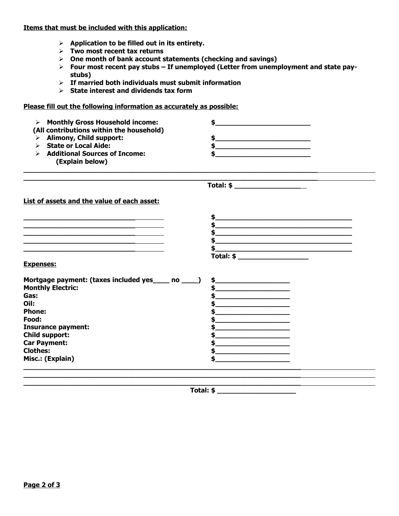**Items that must be included with this application:**

- **Application to be filled out in its entirety.**
- **Two most recent tax returns**
- **One month of bank account statements (checking and savings)**
- **Four most recent pay stubs If unemployed (Letter from unemployment and state paystubs)**

**\_\_\_\_\_\_\_\_\_\_\_\_\_\_\_\_\_\_\_\_\_\_\_\_\_\_\_\_\_\_\_\_\_\_\_\_\_\_\_\_\_\_\_\_\_\_\_\_\_\_\_\_\_\_\_\_\_\_\_\_\_\_\_\_\_\_\_\_\_\_\_**

**\_\_\_\_\_\_\_\_\_\_\_\_\_\_\_\_\_\_\_\_\_\_\_\_\_\_\_\_\_\_\_\_\_\_\_\_\_\_\_\_\_\_\_\_\_\_\_\_\_\_\_\_\_\_\_\_\_\_\_\_\_\_\_\_\_\_\_**

 **Total: \$ \_\_\_\_\_\_\_\_\_\_\_\_\_\_\_\_**

- **If married both individuals must submit information**
- **State interest and dividends tax form**

### **Please fill out the following information as accurately as possible:**

| $\triangleright$ Monthly Gross Household income: |  |
|--------------------------------------------------|--|
| (All contributions within the household)         |  |
| $\triangleright$ Alimony, Child support:         |  |
| <b>State or Local Aide:</b>                      |  |
| <b>Additional Sources of Income:</b>             |  |
| (Explain below)                                  |  |

**\_\_\_\_\_\_\_\_\_\_\_\_\_\_\_\_\_\_\_\_\_\_\_\_\_\_\_\_\_\_\_\_\_\_\_\_\_\_\_\_\_\_\_\_\_\_\_\_\_\_\_\_\_\_\_\_\_\_\_\_\_\_\_\_\_\_\_\_\_\_\_**

**List of assets and the value of each asset:**

|                                                    | \$                                                                                                                                                                                                                                                                                                                                                                                                                                          |
|----------------------------------------------------|---------------------------------------------------------------------------------------------------------------------------------------------------------------------------------------------------------------------------------------------------------------------------------------------------------------------------------------------------------------------------------------------------------------------------------------------|
|                                                    |                                                                                                                                                                                                                                                                                                                                                                                                                                             |
|                                                    |                                                                                                                                                                                                                                                                                                                                                                                                                                             |
|                                                    |                                                                                                                                                                                                                                                                                                                                                                                                                                             |
|                                                    |                                                                                                                                                                                                                                                                                                                                                                                                                                             |
|                                                    | $\textbf{Total: } \$ \begin{tabular}{c} \textbf{1} & \textbf{2} & \textbf{3} & \textbf{5} \\ \hline \textbf{5} & \textbf{6} & \textbf{7} & \textbf{8} \\ \textbf{1} & \textbf{1} & \textbf{1} & \textbf{1} \\ \textbf{2} & \textbf{1} & \textbf{1} & \textbf{1} \\ \textbf{2} & \textbf{1} & \textbf{1} & \textbf{1} \\ \textbf{2} & \textbf{1} & \textbf{1} & \textbf{1} \\ \textbf{3} & \textbf{1} & \textbf{1} & \textbf{1} \\ \textbf{$ |
| <b>Expenses:</b>                                   |                                                                                                                                                                                                                                                                                                                                                                                                                                             |
| Mortgage payment: (taxes included yes ____ no ____ | \$_                                                                                                                                                                                                                                                                                                                                                                                                                                         |
| <b>Monthly Electric:</b>                           |                                                                                                                                                                                                                                                                                                                                                                                                                                             |
| Gas:                                               |                                                                                                                                                                                                                                                                                                                                                                                                                                             |
| Oil:                                               |                                                                                                                                                                                                                                                                                                                                                                                                                                             |
| <b>Phone:</b>                                      |                                                                                                                                                                                                                                                                                                                                                                                                                                             |
| Food:                                              |                                                                                                                                                                                                                                                                                                                                                                                                                                             |
| <b>Insurance payment:</b>                          |                                                                                                                                                                                                                                                                                                                                                                                                                                             |
| Child support:                                     |                                                                                                                                                                                                                                                                                                                                                                                                                                             |
| <b>Car Payment:</b>                                |                                                                                                                                                                                                                                                                                                                                                                                                                                             |
| <b>Clothes:</b>                                    |                                                                                                                                                                                                                                                                                                                                                                                                                                             |
| Misc.: (Explain)                                   |                                                                                                                                                                                                                                                                                                                                                                                                                                             |
|                                                    |                                                                                                                                                                                                                                                                                                                                                                                                                                             |
|                                                    |                                                                                                                                                                                                                                                                                                                                                                                                                                             |

 **Total: \$ \_\_\_\_\_\_\_\_\_\_\_\_\_\_\_\_\_\_\_**